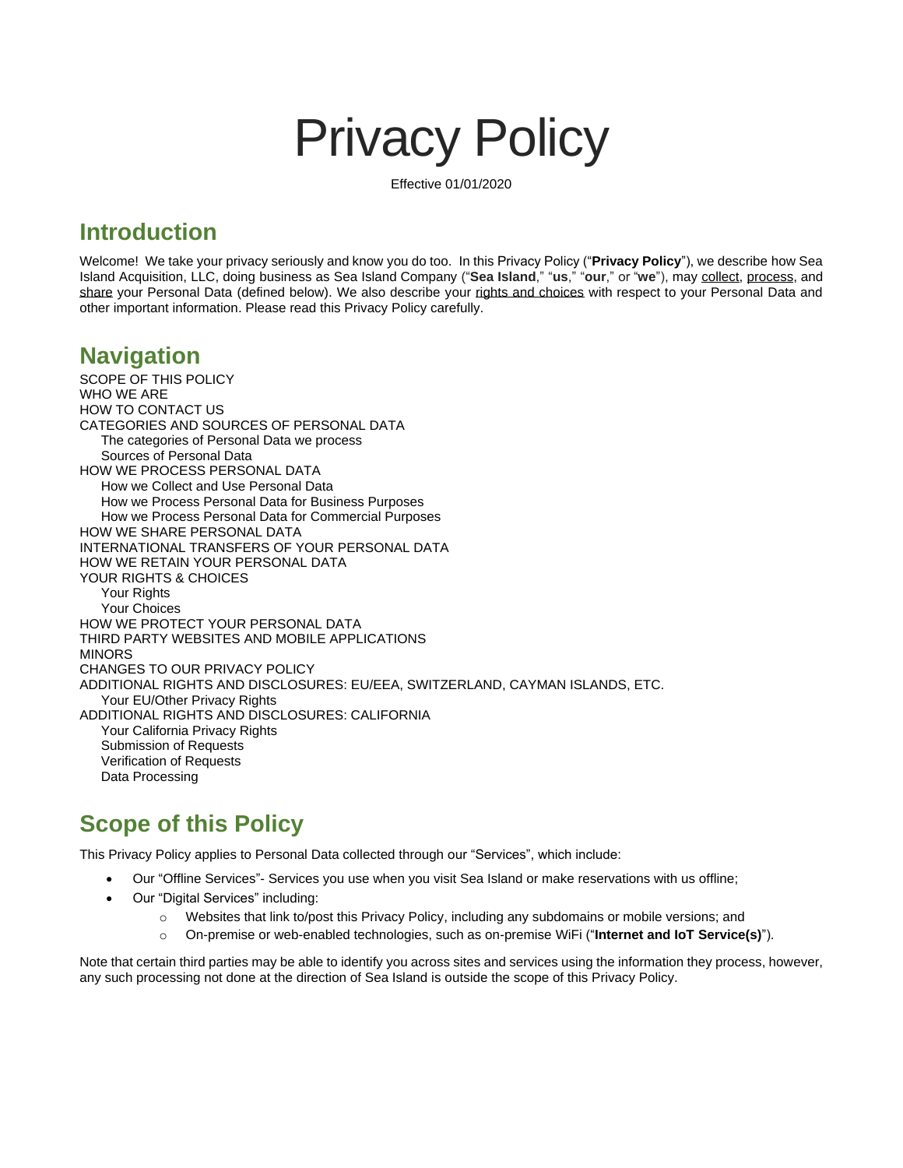# Privacy Policy

Effective 01/01/2020

# **Introduction**

Welcome! We take your privacy seriously and know you do too. In this Privacy Policy ("**Privacy Policy**"), we describe how Sea Island Acquisition, LLC, doing business as Sea Island Company ("**Sea Island**," "**us**," "**our**," or "**we**"), may [collect,](#page-3-0) [process,](#page-3-1) and [share](#page-6-0) your Personal Data (defined below). We also describe your [rights and choices](#page-8-0) with respect to your Personal Data and other important information. Please read this Privacy Policy carefully.

# **Navigation**

[SCOPE OF THIS POLICY](#page-0-0) [WHO WE ARE](#page-1-0) [HOW TO CONTACT US](#page-1-1) [CATEGORIES AND SOURCES OF PERSONAL DATA](#page-1-2) [The categories of Personal Data](#page-1-3) we process [Sources of Personal Data](#page-2-0) [HOW WE PROCESS PERSONAL DATA](#page-3-1) [How we Collect and Use Personal Data](#page-3-0) [How we Process Personal Data for Business Purposes](#page-5-0) [How we Process Personal Data for Commercial Purposes](#page-6-1) [HOW WE SHARE PERSONAL DATA](#page-6-0) [INTERNATIONAL TRANSFERS OF YOUR PERSONAL DATA](#page-7-0) [HOW WE RETAIN YOUR PERSONAL DATA](#page-7-1) [YOUR RIGHTS & CHOICES](#page-8-0) [Your Rights](#page-8-1) [Your Choices](#page-8-2) [HOW WE PROTECT YOUR PERSONAL DATA](#page-9-0) [THIRD PARTY WEBSITES AND MOBILE APPLICATIONS](#page-9-1) [MINORS](#page-9-2) [CHANGES TO OUR PRIVACY POLICY](#page-9-3) [ADDITIONAL RIGHTS AND DISCLOSURES: EU/EEA, SWITZERLAND, CAYMAN ISLANDS, ETC.](#page-10-0) Your [EU/Other Privacy](#page-10-1) Rights [ADDITIONAL RIGHTS AND DISCLOSURES: CALIFORNIA](#page-10-2) [Your California Privacy Rights](#page-10-3) [Submission of Requests](#page-11-0) [Verification of Requests](#page-11-1) [Data Processing](#page-11-2)

# <span id="page-0-0"></span>**Scope of this Policy**

This Privacy Policy applies to Personal Data collected through our "Services", which include:

- Our "Offline Services"- Services you use when you visit Sea Island or make reservations with us offline;
- Our "Digital Services" including:
	- o Websites that link to/post this Privacy Policy, including any subdomains or mobile versions; and
	- o On-premise or web-enabled technologies, such as on-premise WiFi ("**Internet and IoT Service(s)**").

Note that certain third parties may be able to identify you across sites and services using the information they process, however, any such processing not done at the direction of Sea Island is outside the scope of this Privacy Policy.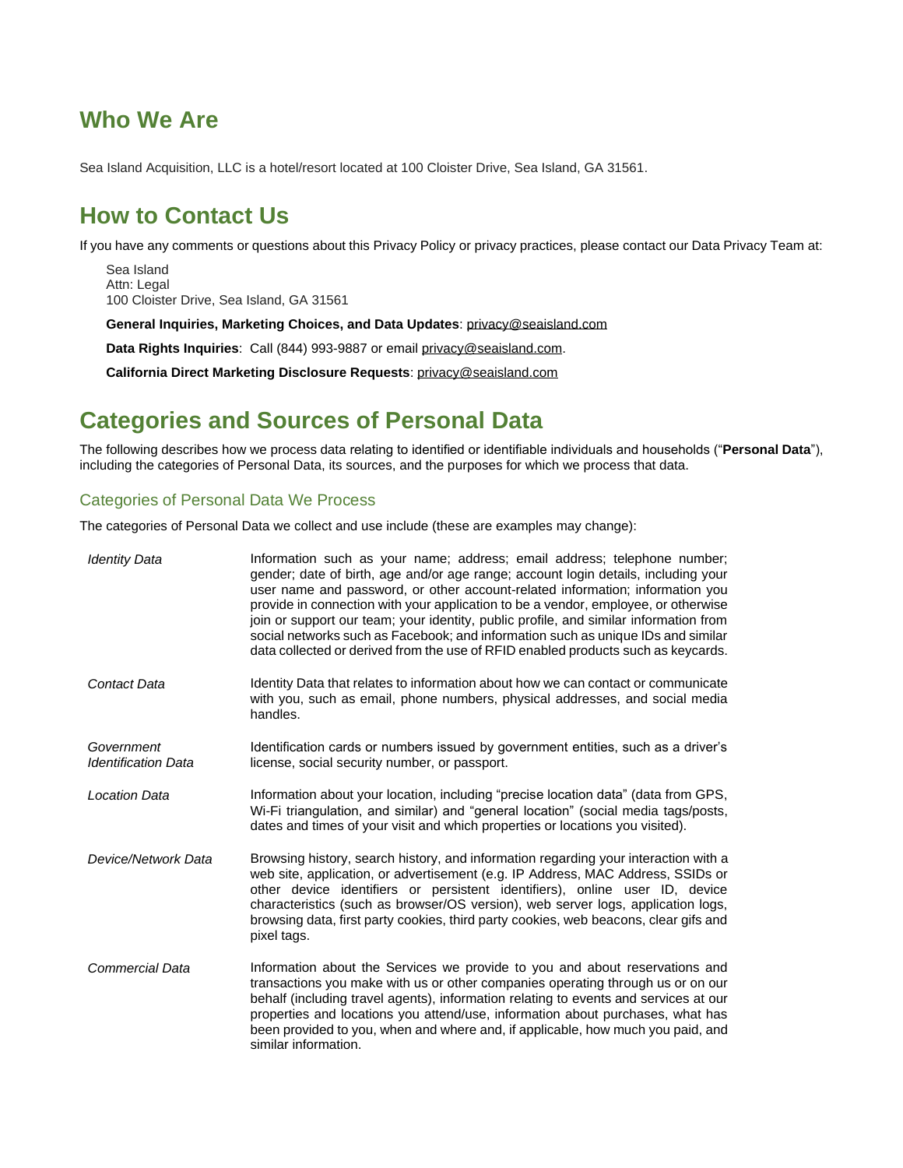# <span id="page-1-0"></span>**Who We Are**

<span id="page-1-1"></span>Sea Island Acquisition, LLC is a hotel/resort located at 100 Cloister Drive, Sea Island, GA 31561.

# **How to Contact Us**

If you have any comments or questions about this Privacy Policy or privacy practices, please contact our Data Privacy Team at:

Sea Island Attn: Legal 100 Cloister Drive, Sea Island, GA 31561

**General Inquiries, Marketing Choices, and Data Updates**[: privacy@seaisland.com](mailto:privacy@seaisland.com)

**Data Rights Inquiries**: Call (844) 993-9887 or email [privacy@seaisland.com.](mailto:privacy@SeaIsland.com)

**California Direct Marketing Disclosure Requests**: [privacy@seaisland.com](mailto:privacy@SeaIsland.com)

# <span id="page-1-2"></span>**Categories and Sources of Personal Data**

The following describes how we process data relating to identified or identifiable individuals and households ("**Personal Data**"), including the categories of Personal Data, its sources, and the purposes for which we process that data.

## <span id="page-1-3"></span>Categories of Personal Data We Process

The categories of Personal Data we collect and use include (these are examples may change):

| <b>Identity Data</b>                     | Information such as your name; address; email address; telephone number;<br>gender; date of birth, age and/or age range; account login details, including your<br>user name and password, or other account-related information; information you<br>provide in connection with your application to be a vendor, employee, or otherwise<br>join or support our team; your identity, public profile, and similar information from<br>social networks such as Facebook; and information such as unique IDs and similar<br>data collected or derived from the use of RFID enabled products such as keycards. |
|------------------------------------------|---------------------------------------------------------------------------------------------------------------------------------------------------------------------------------------------------------------------------------------------------------------------------------------------------------------------------------------------------------------------------------------------------------------------------------------------------------------------------------------------------------------------------------------------------------------------------------------------------------|
| Contact Data                             | Identity Data that relates to information about how we can contact or communicate<br>with you, such as email, phone numbers, physical addresses, and social media<br>handles.                                                                                                                                                                                                                                                                                                                                                                                                                           |
| Government<br><b>Identification Data</b> | Identification cards or numbers issued by government entities, such as a driver's<br>license, social security number, or passport.                                                                                                                                                                                                                                                                                                                                                                                                                                                                      |
| <b>Location Data</b>                     | Information about your location, including "precise location data" (data from GPS,<br>Wi-Fi triangulation, and similar) and "general location" (social media tags/posts,<br>dates and times of your visit and which properties or locations you visited).                                                                                                                                                                                                                                                                                                                                               |
| Device/Network Data                      | Browsing history, search history, and information regarding your interaction with a<br>web site, application, or advertisement (e.g. IP Address, MAC Address, SSIDs or<br>other device identifiers or persistent identifiers), online user ID, device<br>characteristics (such as browser/OS version), web server logs, application logs,<br>browsing data, first party cookies, third party cookies, web beacons, clear gifs and<br>pixel tags.                                                                                                                                                        |
| Commercial Data                          | Information about the Services we provide to you and about reservations and<br>transactions you make with us or other companies operating through us or on our<br>behalf (including travel agents), information relating to events and services at our<br>properties and locations you attend/use, information about purchases, what has<br>been provided to you, when and where and, if applicable, how much you paid, and<br>similar information.                                                                                                                                                     |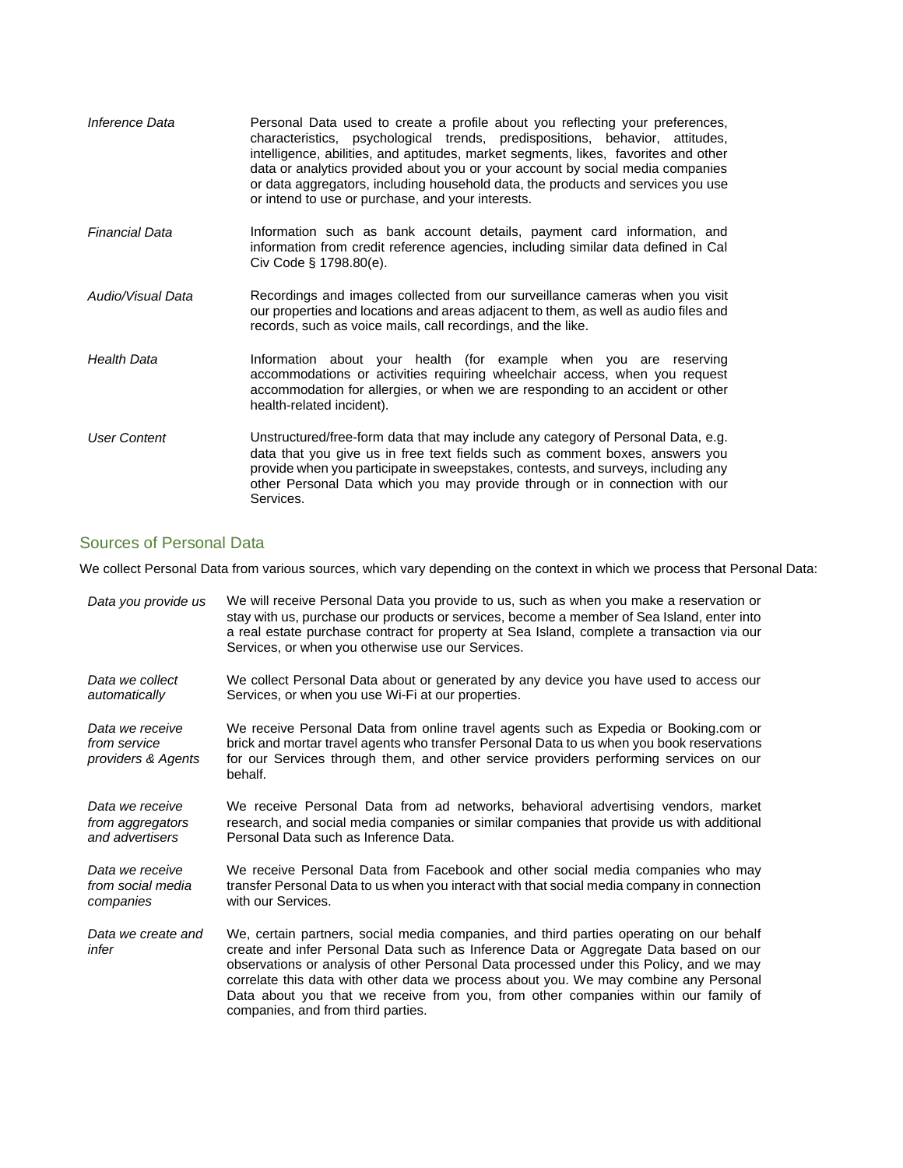| Inference Data        | Personal Data used to create a profile about you reflecting your preferences,<br>characteristics, psychological trends, predispositions, behavior, attitudes,<br>intelligence, abilities, and aptitudes, market segments, likes, favorites and other<br>data or analytics provided about you or your account by social media companies<br>or data aggregators, including household data, the products and services you use<br>or intend to use or purchase, and your interests. |
|-----------------------|---------------------------------------------------------------------------------------------------------------------------------------------------------------------------------------------------------------------------------------------------------------------------------------------------------------------------------------------------------------------------------------------------------------------------------------------------------------------------------|
| <b>Financial Data</b> | Information such as bank account details, payment card information, and<br>information from credit reference agencies, including similar data defined in Cal<br>Civ Code § 1798.80(e).                                                                                                                                                                                                                                                                                          |
| Audio/Visual Data     | Recordings and images collected from our surveillance cameras when you visit<br>our properties and locations and areas adjacent to them, as well as audio files and<br>records, such as voice mails, call recordings, and the like.                                                                                                                                                                                                                                             |
| <b>Health Data</b>    | Information about your health (for example when you are reserving<br>accommodations or activities requiring wheelchair access, when you request<br>accommodation for allergies, or when we are responding to an accident or other<br>health-related incident).                                                                                                                                                                                                                  |
| <b>User Content</b>   | Unstructured/free-form data that may include any category of Personal Data, e.g.<br>data that you give us in free text fields such as comment boxes, answers you<br>provide when you participate in sweepstakes, contests, and surveys, including any<br>other Personal Data which you may provide through or in connection with our<br>Services.                                                                                                                               |

## <span id="page-2-0"></span>Sources of Personal Data

We collect Personal Data from various sources, which vary depending on the context in which we process that Personal Data:

| Data you provide us                                   | We will receive Personal Data you provide to us, such as when you make a reservation or<br>stay with us, purchase our products or services, become a member of Sea Island, enter into<br>a real estate purchase contract for property at Sea Island, complete a transaction via our<br>Services, or when you otherwise use our Services.                                                                                                                                                        |
|-------------------------------------------------------|-------------------------------------------------------------------------------------------------------------------------------------------------------------------------------------------------------------------------------------------------------------------------------------------------------------------------------------------------------------------------------------------------------------------------------------------------------------------------------------------------|
| Data we collect                                       | We collect Personal Data about or generated by any device you have used to access our                                                                                                                                                                                                                                                                                                                                                                                                           |
| automatically                                         | Services, or when you use Wi-Fi at our properties.                                                                                                                                                                                                                                                                                                                                                                                                                                              |
| Data we receive<br>from service<br>providers & Agents | We receive Personal Data from online travel agents such as Expedia or Booking.com or<br>brick and mortar travel agents who transfer Personal Data to us when you book reservations<br>for our Services through them, and other service providers performing services on our<br>behalf.                                                                                                                                                                                                          |
| Data we receive                                       | We receive Personal Data from ad networks, behavioral advertising vendors, market                                                                                                                                                                                                                                                                                                                                                                                                               |
| from aggregators                                      | research, and social media companies or similar companies that provide us with additional                                                                                                                                                                                                                                                                                                                                                                                                       |
| and advertisers                                       | Personal Data such as Inference Data.                                                                                                                                                                                                                                                                                                                                                                                                                                                           |
| Data we receive                                       | We receive Personal Data from Facebook and other social media companies who may                                                                                                                                                                                                                                                                                                                                                                                                                 |
| from social media                                     | transfer Personal Data to us when you interact with that social media company in connection                                                                                                                                                                                                                                                                                                                                                                                                     |
| companies                                             | with our Services.                                                                                                                                                                                                                                                                                                                                                                                                                                                                              |
| Data we create and<br>infer                           | We, certain partners, social media companies, and third parties operating on our behalf<br>create and infer Personal Data such as Inference Data or Aggregate Data based on our<br>observations or analysis of other Personal Data processed under this Policy, and we may<br>correlate this data with other data we process about you. We may combine any Personal<br>Data about you that we receive from you, from other companies within our family of<br>companies, and from third parties. |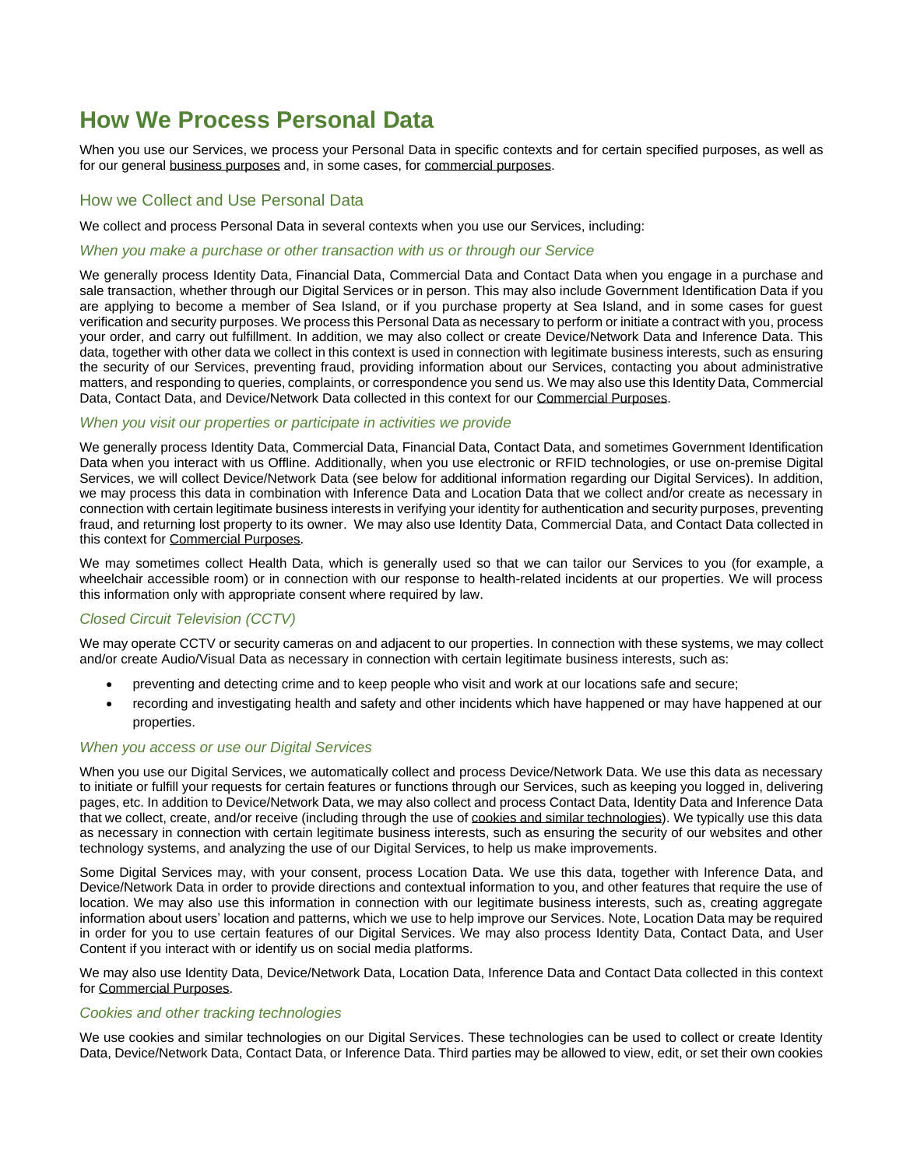# <span id="page-3-1"></span>**How We Process Personal Data**

When you use our Services, we process your Personal Data in specific contexts and for certain specified purposes, as well as for our general [business purposes](#page-5-0) and, in some cases, for [commercial purposes.](#page-6-1)

### <span id="page-3-0"></span>How we Collect and Use Personal Data

We collect and process Personal Data in several contexts when you use our Services, including:

#### <span id="page-3-3"></span>*When you make a purchase or other transaction with us or through our Service*

We generally process Identity Data, Financial Data, Commercial Data and Contact Data when you engage in a purchase and sale transaction, whether through our Digital Services or in person. This may also include Government Identification Data if you are applying to become a member of Sea Island, or if you purchase property at Sea Island, and in some cases for guest verification and security purposes. We process this Personal Data as necessary to perform or initiate a contract with you, process your order, and carry out fulfillment. In addition, we may also collect or create Device/Network Data and Inference Data. This data, together with other data we collect in this context is used in connection with legitimate business interests, such as ensuring the security of our Services, preventing fraud, providing information about our Services, contacting you about administrative matters, and responding to queries, complaints, or correspondence you send us. We may also use this Identity Data, Commercial Data, Contact Data, and Device/Network Data collected in this context for our [Commercial Purposes.](#page-6-1)

#### <span id="page-3-4"></span>*When you visit our properties or participate in activities we provide*

We generally process Identity Data, Commercial Data, Financial Data, Contact Data, and sometimes Government Identification Data when you interact with us Offline. Additionally, when you use electronic or RFID technologies, or use on-premise Digital Services, we will collect Device/Network Data (see below for additional information regarding our Digital Services). In addition, we may process this data in combination with Inference Data and Location Data that we collect and/or create as necessary in connection with certain legitimate business interests in verifying your identity for authentication and security purposes, preventing fraud, and returning lost property to its owner. We may also use Identity Data, Commercial Data, and Contact Data collected in this context for [Commercial Purposes.](#page-6-1)

We may sometimes collect Health Data, which is generally used so that we can tailor our Services to you (for example, a wheelchair accessible room) or in connection with our response to health-related incidents at our properties. We will process this information only with appropriate consent where required by law.

### *Closed Circuit Television (CCTV)*

We may operate CCTV or security cameras on and adjacent to our properties. In connection with these systems, we may collect and/or create Audio/Visual Data as necessary in connection with certain legitimate business interests, such as:

- preventing and detecting crime and to keep people who visit and work at our locations safe and secure;
- recording and investigating health and safety and other incidents which have happened or may have happened at our properties.

### *When you access or use our Digital Services*

When you use our Digital Services, we automatically collect and process Device/Network Data. We use this data as necessary to initiate or fulfill your requests for certain features or functions through our Services, such as keeping you logged in, delivering pages, etc. In addition to Device/Network Data, we may also collect and process Contact Data, Identity Data and Inference Data that we collect, create, and/or receive (including through the use of [cookies and similar technologies\)](#page-3-2). We typically use this data as necessary in connection with certain legitimate business interests, such as ensuring the security of our websites and other technology systems, and analyzing the use of our Digital Services, to help us make improvements.

Some Digital Services may, with your consent, process Location Data. We use this data, together with Inference Data, and Device/Network Data in order to provide directions and contextual information to you, and other features that require the use of location. We may also use this information in connection with our legitimate business interests, such as, creating aggregate information about users' location and patterns, which we use to help improve our Services. Note, Location Data may be required in order for you to use certain features of our Digital Services. We may also process Identity Data, Contact Data, and User Content if you interact with or identify us on social media platforms.

We may also use Identity Data, Device/Network Data, Location Data, Inference Data and Contact Data collected in this context for [Commercial Purposes.](#page-6-1)

#### <span id="page-3-2"></span>*Cookies and other tracking technologies*

We use cookies and similar technologies on our Digital Services. These technologies can be used to collect or create Identity Data, Device/Network Data, Contact Data, or Inference Data. Third parties may be allowed to view, edit, or set their own cookies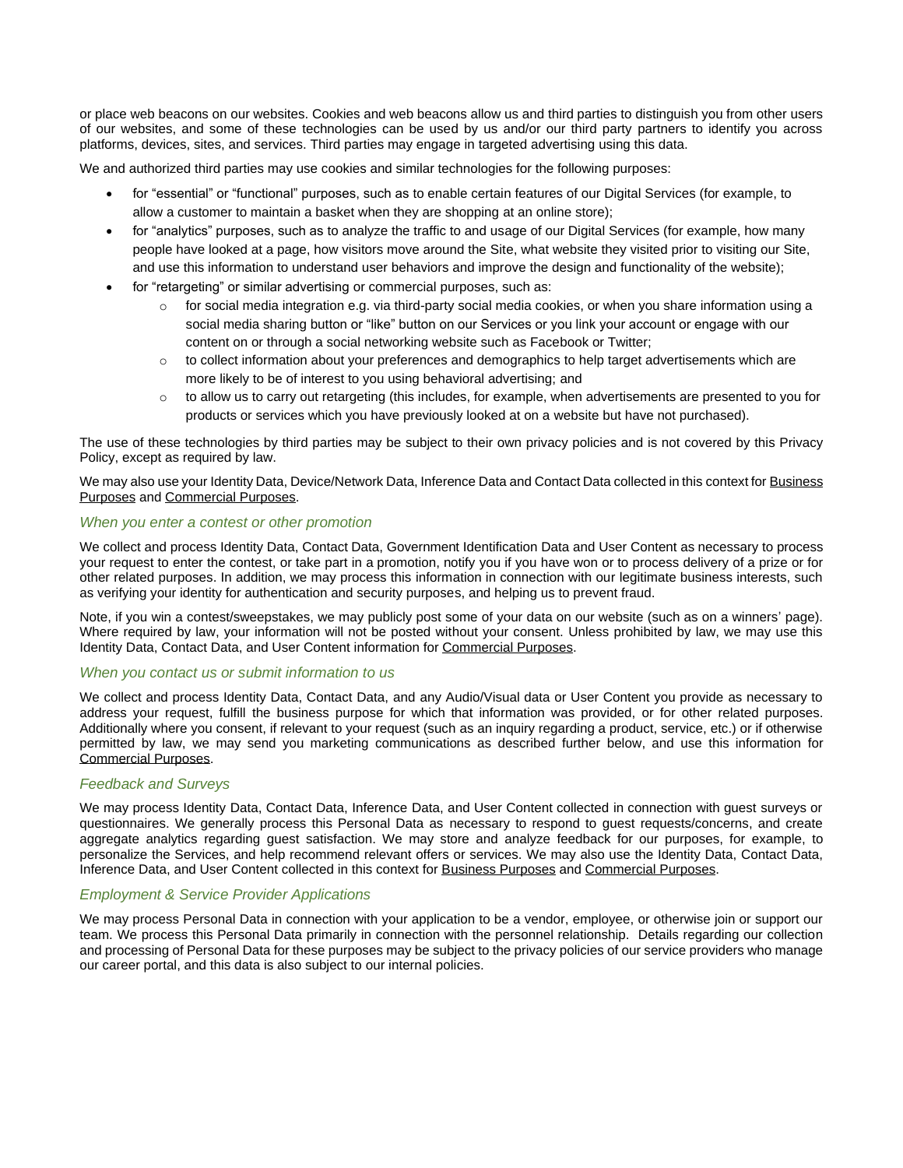or place web beacons on our websites. Cookies and web beacons allow us and third parties to distinguish you from other users of our websites, and some of these technologies can be used by us and/or our third party partners to identify you across platforms, devices, sites, and services. Third parties may engage in targeted advertising using this data.

We and authorized third parties may use cookies and similar technologies for the following purposes:

- for "essential" or "functional" purposes, such as to enable certain features of our Digital Services (for example, to allow a customer to maintain a basket when they are shopping at an online store);
- for "analytics" purposes, such as to analyze the traffic to and usage of our Digital Services (for example, how many people have looked at a page, how visitors move around the Site, what website they visited prior to visiting our Site, and use this information to understand user behaviors and improve the design and functionality of the website);
- for "retargeting" or similar advertising or commercial purposes, such as:
	- $\circ$  for social media integration e.g. via third-party social media cookies, or when you share information using a social media sharing button or "like" button on our Services or you link your account or engage with our content on or through a social networking website such as Facebook or Twitter;
	- $\circ$  to collect information about your preferences and demographics to help target advertisements which are more likely to be of interest to you using behavioral advertising; and
	- $\circ$  to allow us to carry out retargeting (this includes, for example, when advertisements are presented to you for products or services which you have previously looked at on a website but have not purchased).

The use of these technologies by third parties may be subject to their own privacy policies and is not covered by this Privacy Policy, except as required by law.

We may also use your Identity Data, Device/Network Data, Inference Data and Contact Data collected in this context for [Business](#page-5-0)  [Purposes](#page-5-0) and [Commercial Purposes.](#page-6-1)

#### <span id="page-4-0"></span>*When you enter a contest or other promotion*

We collect and process Identity Data, Contact Data, Government Identification Data and User Content as necessary to process your request to enter the contest, or take part in a promotion, notify you if you have won or to process delivery of a prize or for other related purposes. In addition, we may process this information in connection with our legitimate business interests, such as verifying your identity for authentication and security purposes, and helping us to prevent fraud.

Note, if you win a contest/sweepstakes, we may publicly post some of your data on our website (such as on a winners' page). Where required by law, your information will not be posted without your consent. Unless prohibited by law, we may use this Identity Data, Contact Data, and User Content information for [Commercial Purposes.](#page-5-0)

### <span id="page-4-1"></span>*When you contact us or submit information to us*

We collect and process Identity Data, Contact Data, and any Audio/Visual data or User Content you provide as necessary to address your request, fulfill the business purpose for which that information was provided, or for other related purposes. Additionally where you consent, if relevant to your request (such as an inquiry regarding a product, service, etc.) or if otherwise permitted by law, we may send you marketing communications as described further below, and use this information for [Commercial Purposes.](#page-6-1)

### <span id="page-4-2"></span>*Feedback and Surveys*

We may process Identity Data, Contact Data, Inference Data, and User Content collected in connection with guest surveys or questionnaires. We generally process this Personal Data as necessary to respond to guest requests/concerns, and create aggregate analytics regarding guest satisfaction. We may store and analyze feedback for our purposes, for example, to personalize the Services, and help recommend relevant offers or services. We may also use the Identity Data, Contact Data, Inference Data, and User Content collected in this context for Business [Purposes](#page-5-0) and [Commercial Purposes.](#page-6-1)

### *Employment & Service Provider Applications*

We may process Personal Data in connection with your application to be a vendor, employee, or otherwise join or support our team. We process this Personal Data primarily in connection with the personnel relationship. Details regarding our collection and processing of Personal Data for these purposes may be subject to the privacy policies of our service providers who manage our career portal, and this data is also subject to our internal policies.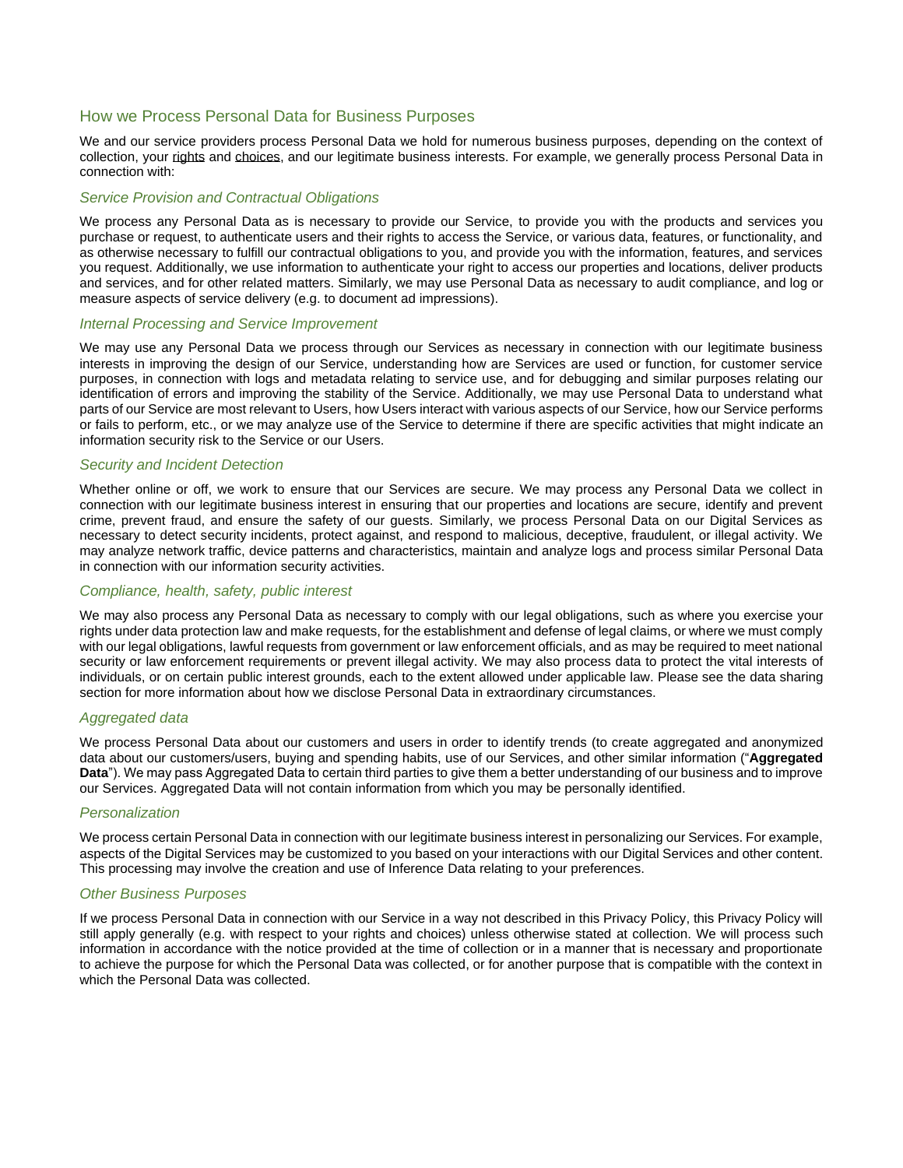### <span id="page-5-0"></span>How we Process Personal Data for Business Purposes

We and our service providers process Personal Data we hold for numerous business purposes, depending on the context of collection, your [rights](#page-8-1) and [choices,](#page-8-2) and our legitimate business interests. For example, we generally process Personal Data in connection with:

#### *Service Provision and Contractual Obligations*

We process any Personal Data as is necessary to provide our Service, to provide you with the products and services you purchase or request, to authenticate users and their rights to access the Service, or various data, features, or functionality, and as otherwise necessary to fulfill our contractual obligations to you, and provide you with the information, features, and services you request. Additionally, we use information to authenticate your right to access our properties and locations, deliver products and services, and for other related matters. Similarly, we may use Personal Data as necessary to audit compliance, and log or measure aspects of service delivery (e.g. to document ad impressions).

#### *Internal Processing and Service Improvement*

We may use any Personal Data we process through our Services as necessary in connection with our legitimate business interests in improving the design of our Service, understanding how are Services are used or function, for customer service purposes, in connection with logs and metadata relating to service use, and for debugging and similar purposes relating our identification of errors and improving the stability of the Service. Additionally, we may use Personal Data to understand what parts of our Service are most relevant to Users, how Users interact with various aspects of our Service, how our Service performs or fails to perform, etc., or we may analyze use of the Service to determine if there are specific activities that might indicate an information security risk to the Service or our Users.

#### *Security and Incident Detection*

Whether online or off, we work to ensure that our Services are secure. We may process any Personal Data we collect in connection with our legitimate business interest in ensuring that our properties and locations are secure, identify and prevent crime, prevent fraud, and ensure the safety of our guests. Similarly, we process Personal Data on our Digital Services as necessary to detect security incidents, protect against, and respond to malicious, deceptive, fraudulent, or illegal activity. We may analyze network traffic, device patterns and characteristics, maintain and analyze logs and process similar Personal Data in connection with our information security activities.

#### *Compliance, health, safety, public interest*

We may also process any Personal Data as necessary to comply with our legal obligations, such as where you exercise your rights under data protection law and make requests, for the establishment and defense of legal claims, or where we must comply with our legal obligations, lawful requests from government or law enforcement officials, and as may be required to meet national security or law enforcement requirements or prevent illegal activity. We may also process data to protect the vital interests of individuals, or on certain public interest grounds, each to the extent allowed under applicable law. Please see the data sharing section for more information about how we disclose Personal Data in extraordinary circumstances.

#### *Aggregated data*

We process Personal Data about our customers and users in order to identify trends (to create aggregated and anonymized data about our customers/users, buying and spending habits, use of our Services, and other similar information ("**Aggregated Data**"). We may pass Aggregated Data to certain third parties to give them a better understanding of our business and to improve our Services. Aggregated Data will not contain information from which you may be personally identified.

#### *Personalization*

We process certain Personal Data in connection with our legitimate business interest in personalizing our Services. For example, aspects of the Digital Services may be customized to you based on your interactions with our Digital Services and other content. This processing may involve the creation and use of Inference Data relating to your preferences.

#### *Other Business Purposes*

If we process Personal Data in connection with our Service in a way not described in this Privacy Policy, this Privacy Policy will still apply generally (e.g. with respect to your rights and choices) unless otherwise stated at collection. We will process such information in accordance with the notice provided at the time of collection or in a manner that is necessary and proportionate to achieve the purpose for which the Personal Data was collected, or for another purpose that is compatible with the context in which the Personal Data was collected.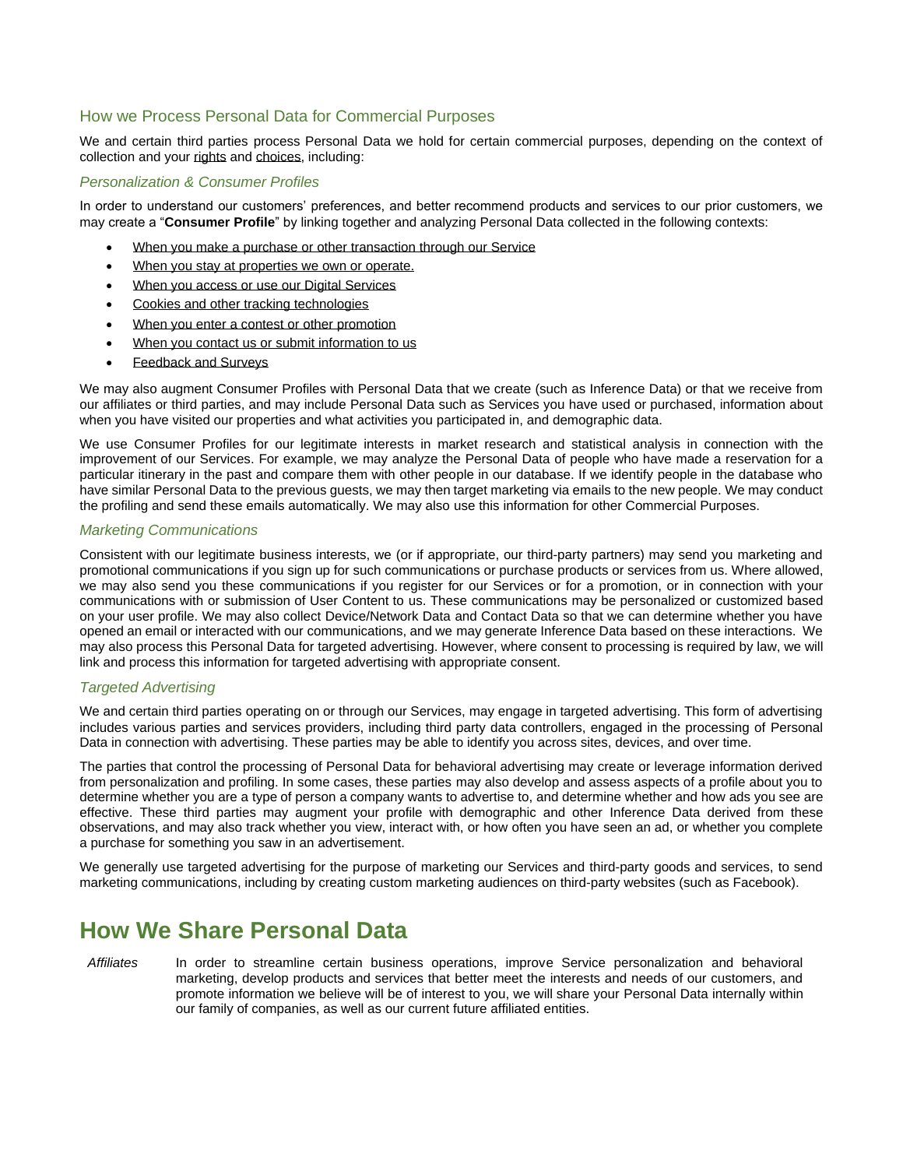### <span id="page-6-1"></span>How we Process Personal Data for Commercial Purposes

We and certain third parties process Personal Data we hold for certain commercial purposes, depending on the context of collection and you[r rights](#page-8-1) an[d choices,](#page-8-2) including:

### <span id="page-6-3"></span>*Personalization & Consumer Profiles*

In order to understand our customers' preferences, and better recommend products and services to our prior customers, we may create a "**Consumer Profile**" by linking together and analyzing Personal Data collected in the following contexts:

- [When you make a purchase or other transaction through our Service](#page-3-3)
- [When you stay at properties we](#page-3-4) own or operate.
- When you access or use our Digital Services
- [Cookies and other tracking technologies](#page-3-2)
- [When you enter a contest or other promotion](#page-4-0)
- [When you contact us or submit information to us](#page-4-1)
- [Feedback and Surveys](#page-4-2)

We may also augment Consumer Profiles with Personal Data that we create (such as Inference Data) or that we receive from our affiliates or third parties, and may include Personal Data such as Services you have used or purchased, information about when you have visited our properties and what activities you participated in, and demographic data.

We use Consumer Profiles for our legitimate interests in market research and statistical analysis in connection with the improvement of our Services. For example, we may analyze the Personal Data of people who have made a reservation for a particular itinerary in the past and compare them with other people in our database. If we identify people in the database who have similar Personal Data to the previous guests, we may then target marketing via emails to the new people. We may conduct the profiling and send these emails automatically. We may also use this information for other Commercial Purposes.

#### *Marketing Communications*

Consistent with our legitimate business interests, we (or if appropriate, our third-party partners) may send you marketing and promotional communications if you sign up for such communications or purchase products or services from us. Where allowed, we may also send you these communications if you register for our Services or for a promotion, or in connection with your communications with or submission of User Content to us. These communications may be personalized or customized based on your user profile. We may also collect Device/Network Data and Contact Data so that we can determine whether you have opened an email or interacted with our communications, and we may generate Inference Data based on these interactions. We may also process this Personal Data for targeted advertising. However, where consent to processing is required by law, we will link and process this information for targeted advertising with appropriate consent.

#### <span id="page-6-2"></span>*Targeted Advertising*

We and certain third parties operating on or through our Services, may engage in targeted advertising. This form of advertising includes various parties and services providers, including third party data controllers, engaged in the processing of Personal Data in connection with advertising. These parties may be able to identify you across sites, devices, and over time.

The parties that control the processing of Personal Data for behavioral advertising may create or leverage information derived from personalization and profiling. In some cases, these parties may also develop and assess aspects of a profile about you to determine whether you are a type of person a company wants to advertise to, and determine whether and how ads you see are effective. These third parties may augment your profile with demographic and other Inference Data derived from these observations, and may also track whether you view, interact with, or how often you have seen an ad, or whether you complete a purchase for something you saw in an advertisement.

We generally use targeted advertising for the purpose of marketing our Services and third-party goods and services, to send marketing communications, including by creating custom marketing audiences on third-party websites (such as Facebook).

# <span id="page-6-0"></span>**How We Share Personal Data**

*Affiliates* In order to streamline certain business operations, improve Service personalization and behavioral marketing, develop products and services that better meet the interests and needs of our customers, and promote information we believe will be of interest to you, we will share your Personal Data internally within our family of companies, as well as our current future affiliated entities.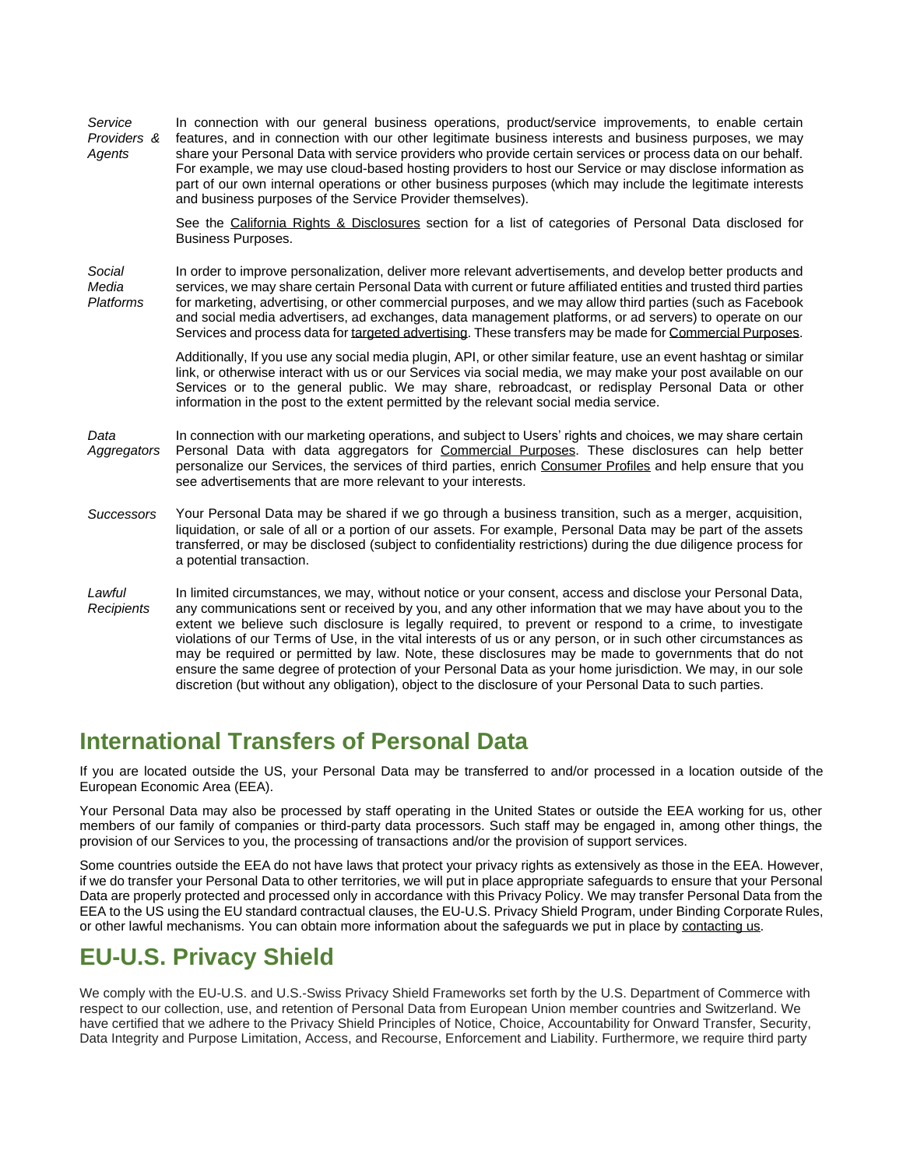*Service Providers & Agents* In connection with our general business operations, product/service improvements, to enable certain features, and in connection with our other legitimate business interests and business purposes, we may share your Personal Data with service providers who provide certain services or process data on our behalf. For example, we may use cloud-based hosting providers to host our Service or may disclose information as part of our own internal operations or other business purposes (which may include the legitimate interests and business purposes of the Service Provider themselves).

> See the [California Rights & Disclosures](#page-10-2) section for a list of categories of Personal Data disclosed for Business Purposes.

*Social Media Platforms* In order to improve personalization, deliver more relevant advertisements, and develop better products and services, we may share certain Personal Data with current or future affiliated entities and trusted third parties for marketing, advertising, or other commercial purposes, and we may allow third parties (such as Facebook and social media advertisers, ad exchanges, data management platforms, or ad servers) to operate on our Services and process data fo[r targeted advertising.](#page-6-2) These transfers may be made for [Commercial Purposes.](#page-6-1)

> Additionally, If you use any social media plugin, API, or other similar feature, use an event hashtag or similar link, or otherwise interact with us or our Services via social media, we may make your post available on our Services or to the general public. We may share, rebroadcast, or redisplay Personal Data or other information in the post to the extent permitted by the relevant social media service.

*Data Aggregators* In connection with our marketing operations, and subject to Users' rights and choices, we may share certain Personal Data with data aggregators for [Commercial Purposes.](#page-6-1) These disclosures can help better personalize our Services, the services of third parties, enrich [Consumer](#page-6-3) Profiles and help ensure that you see advertisements that are more relevant to your interests.

- *Successors* Your Personal Data may be shared if we go through a business transition, such as a merger, acquisition, liquidation, or sale of all or a portion of our assets. For example, Personal Data may be part of the assets transferred, or may be disclosed (subject to confidentiality restrictions) during the due diligence process for a potential transaction.
- *Lawful Recipients* In limited circumstances, we may, without notice or your consent, access and disclose your Personal Data, any communications sent or received by you, and any other information that we may have about you to the extent we believe such disclosure is legally required, to prevent or respond to a crime, to investigate violations of our Terms of Use, in the vital interests of us or any person, or in such other circumstances as may be required or permitted by law. Note, these disclosures may be made to governments that do not ensure the same degree of protection of your Personal Data as your home jurisdiction. We may, in our sole discretion (but without any obligation), object to the disclosure of your Personal Data to such parties.

# <span id="page-7-0"></span>**International Transfers of Personal Data**

If you are located outside the US, your Personal Data may be transferred to and/or processed in a location outside of the European Economic Area (EEA).

Your Personal Data may also be processed by staff operating in the United States or outside the EEA working for us, other members of our family of companies or third-party data processors. Such staff may be engaged in, among other things, the provision of our Services to you, the processing of transactions and/or the provision of support services.

Some countries outside the EEA do not have laws that protect your privacy rights as extensively as those in the EEA. However, if we do transfer your Personal Data to other territories, we will put in place appropriate safeguards to ensure that your Personal Data are properly protected and processed only in accordance with this Privacy Policy. We may transfer Personal Data from the EEA to the US using the EU standard contractual clauses, the EU-U.S. Privacy Shield Program, under Binding Corporate Rules, or other lawful mechanisms. You can obtain more information about the safeguards we put in place b[y contacting us.](#page-1-1)

# <span id="page-7-1"></span>**EU-U.S. Privacy Shield**

We comply with the EU-U.S. and U.S.-Swiss Privacy Shield Frameworks set forth by the U.S. Department of Commerce with respect to our collection, use, and retention of Personal Data from European Union member countries and Switzerland. We have certified that we adhere to the Privacy Shield Principles of Notice, Choice, Accountability for Onward Transfer, Security, Data Integrity and Purpose Limitation, Access, and Recourse, Enforcement and Liability. Furthermore, we require third party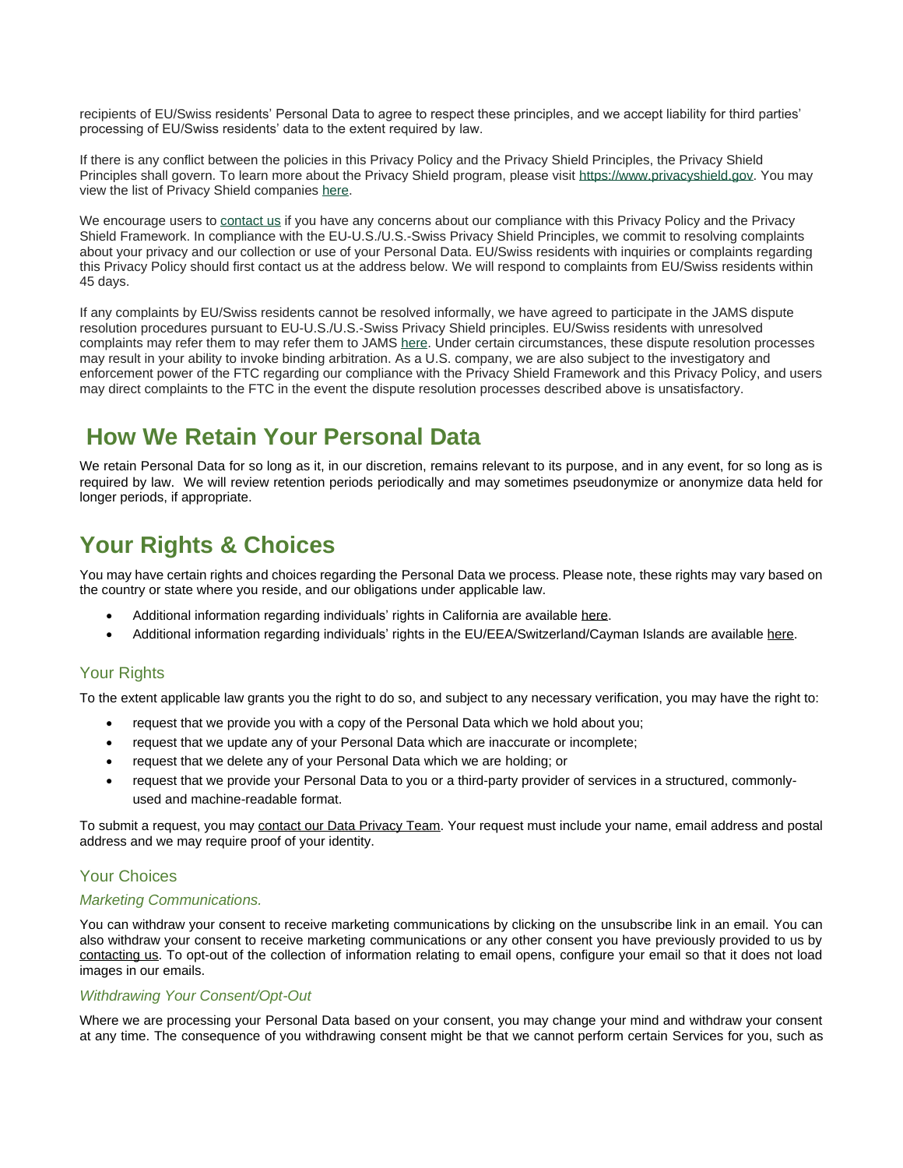recipients of EU/Swiss residents' Personal Data to agree to respect these principles, and we accept liability for third parties' processing of EU/Swiss residents' data to the extent required by law.

If there is any conflict between the policies in this Privacy Policy and the Privacy Shield Principles, the Privacy Shield Principles shall govern. To learn more about the Privacy Shield program, please visit [https://www.privacyshield.gov.](https://www.privacyshield.gov/) You may view the list of Privacy Shield companies [here.](https://www.privacyshield.gov/list)

We encourage users to [contact](#page-1-1) us if you have any concerns about our compliance with this Privacy Policy and the Privacy Shield Framework. In compliance with the EU-U.S./U.S.-Swiss Privacy Shield Principles, we commit to resolving complaints about your privacy and our collection or use of your Personal Data. EU/Swiss residents with inquiries or complaints regarding this Privacy Policy should first contact us at the address below. We will respond to complaints from EU/Swiss residents within 45 days.

If any complaints by EU/Swiss residents cannot be resolved informally, we have agreed to participate in the JAMS dispute resolution procedures pursuant to EU-U.S./U.S.-Swiss Privacy Shield principles. EU/Swiss residents with unresolved complaints may refer them to may refer them to JAMS [here.](https://www.jamsadr.com/file-an-eu-us-privacy-shield-or-safe-harbor-claim/) Under certain circumstances, these dispute resolution processes may result in your ability to invoke binding arbitration. As a U.S. company, we are also subject to the investigatory and enforcement power of the FTC regarding our compliance with the Privacy Shield Framework and this Privacy Policy, and users may direct complaints to the FTC in the event the dispute resolution processes described above is unsatisfactory.

# **How We Retain Your Personal Data**

We retain Personal Data for so long as it, in our discretion, remains relevant to its purpose, and in any event, for so long as is required by law. We will review retention periods periodically and may sometimes pseudonymize or anonymize data held for longer periods, if appropriate.

# <span id="page-8-0"></span>**Your Rights & Choices**

You may have certain rights and choices regarding the Personal Data we process. Please note, these rights may vary based on the country or state where you reside, and our obligations under applicable law.

- Additional information regarding individuals' rights in California are available [here.](#page-10-2)
- Additional information regarding individuals' rights in the EU/EEA/Switzerland/Cayman Islands are available [here.](#page-10-0)

# <span id="page-8-1"></span>Your Rights

To the extent applicable law grants you the right to do so, and subject to any necessary verification, you may have the right to:

- request that we provide you with a copy of the Personal Data which we hold about you;
- request that we update any of your Personal Data which are inaccurate or incomplete;
- request that we delete any of your Personal Data which we are holding; or
- request that we provide your Personal Data to you or a third-party provider of services in a structured, commonlyused and machine-readable format.

To submit a request, you may [contact our Data Privacy Team.](#page-1-1) Your request must include your name, email address and postal address and we may require proof of your identity.

### <span id="page-8-2"></span>Your Choices

### *Marketing Communications.*

You can withdraw your consent to receive marketing communications by clicking on the unsubscribe link in an email. You can also withdraw your consent to receive marketing communications or any other consent you have previously provided to us by [contacting us.](mailto:marketing@seaisland.com) To opt-out of the collection of information relating to email opens, configure your email so that it does not load images in our emails.

### *Withdrawing Your Consent/Opt-Out*

Where we are processing your Personal Data based on your consent, you may change your mind and withdraw your consent at any time. The consequence of you withdrawing consent might be that we cannot perform certain Services for you, such as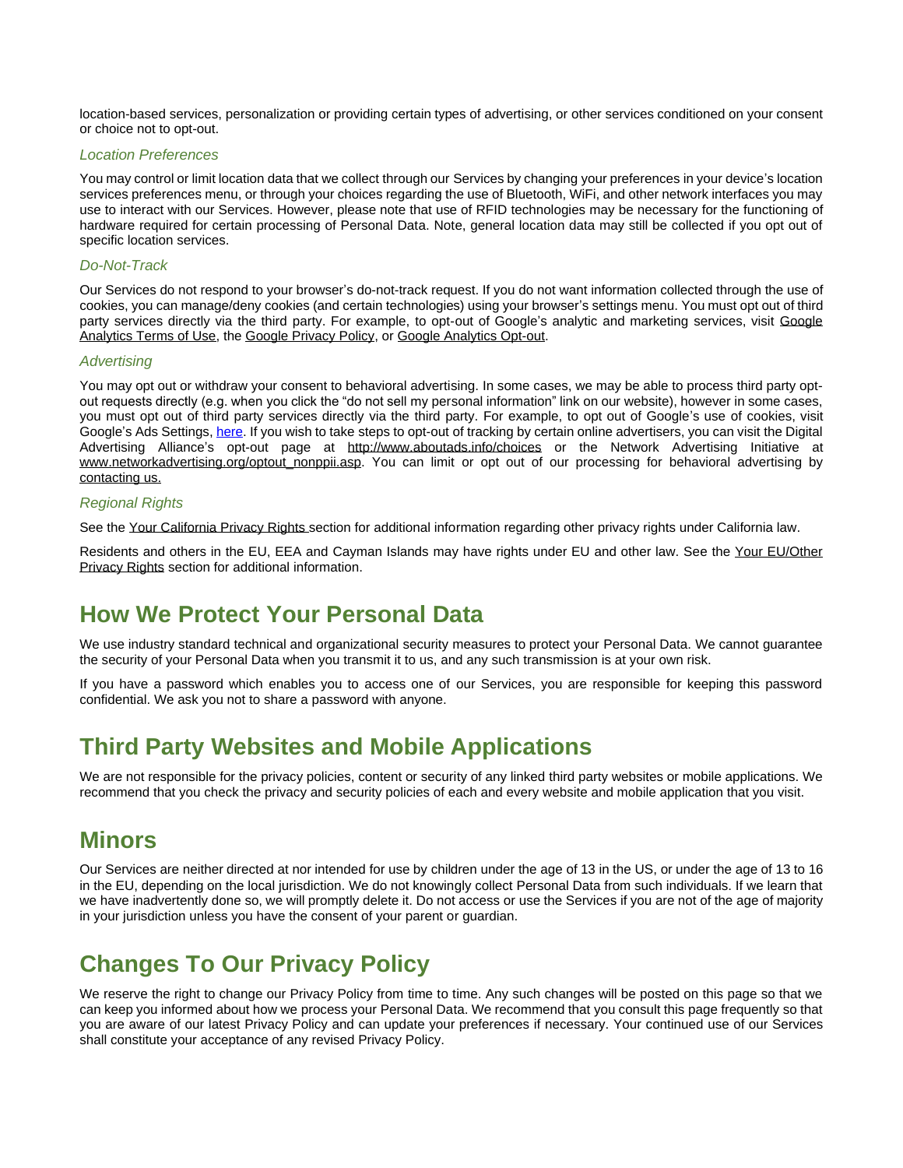location-based services, personalization or providing certain types of advertising, or other services conditioned on your consent or choice not to opt-out.

#### *Location Preferences*

You may control or limit location data that we collect through our Services by changing your preferences in your device's location services preferences menu, or through your choices regarding the use of Bluetooth, WiFi, and other network interfaces you may use to interact with our Services. However, please note that use of RFID technologies may be necessary for the functioning of hardware required for certain processing of Personal Data. Note, general location data may still be collected if you opt out of specific location services.

### *Do-Not-Track*

Our Services do not respond to your browser's do-not-track request. If you do not want information collected through the use of cookies, you can manage/deny cookies (and certain technologies) using your browser's settings menu. You must opt out of third party services directly via the third party. For example, to opt-out of Google's analytic and marketing services, visit Google [Analytics Terms of Use,](http://www.google.com/analytics/tos.html) th[e Google Privacy Policy,](http://www.google.com/privacypolicy.html) o[r Google Analytics Opt-out.](https://tools.google.com/dlpage/gaoptout?hl=en-GB)

#### *Advertising*

You may opt out or withdraw your consent to behavioral advertising. In some cases, we may be able to process third party optout requests directly (e.g. when you click the "do not sell my personal information" link on our website), however in some cases, you must opt out of third party services directly via the third party. For example, to opt out of Google's use of cookies, visit Google's Ads Settings, [here.](https://adssettings.google.com/) If you wish to take steps to opt-out of tracking by certain online advertisers, you can visit the Digital Advertising Alliance's opt-out page at <http://www.aboutads.info/choices> or the Network Advertising Initiative at [www.networkadvertising.org/optout\\_nonppii.asp.](http://www.networkadvertising.org/optout_nonppii.asp) You can limit or opt out of our processing for behavioral advertising by [contacting us.](#page-1-1)

#### *Regional Rights*

See th[e Your California Privacy Rights](#page-10-2) section for additional information regarding other privacy rights under California law.

Residents and others in the EU, EEA and Cayman Islands may have rights under EU and other law. See the Your EU/Other [Privacy Rights](#page-10-0) section for additional information.

# <span id="page-9-0"></span>**How We Protect Your Personal Data**

We use industry standard technical and organizational security measures to protect your Personal Data. We cannot guarantee the security of your Personal Data when you transmit it to us, and any such transmission is at your own risk.

If you have a password which enables you to access one of our Services, you are responsible for keeping this password confidential. We ask you not to share a password with anyone.

# <span id="page-9-1"></span>**Third Party Websites and Mobile Applications**

We are not responsible for the privacy policies, content or security of any linked third party websites or mobile applications. We recommend that you check the privacy and security policies of each and every website and mobile application that you visit.

# <span id="page-9-2"></span>**Minors**

Our Services are neither directed at nor intended for use by children under the age of 13 in the US, or under the age of 13 to 16 in the EU, depending on the local jurisdiction. We do not knowingly collect Personal Data from such individuals. If we learn that we have inadvertently done so, we will promptly delete it. Do not access or use the Services if you are not of the age of majority in your jurisdiction unless you have the consent of your parent or guardian.

# <span id="page-9-3"></span>**Changes To Our Privacy Policy**

We reserve the right to change our Privacy Policy from time to time. Any such changes will be posted on this page so that we can keep you informed about how we process your Personal Data. We recommend that you consult this page frequently so that you are aware of our latest Privacy Policy and can update your preferences if necessary. Your continued use of our Services shall constitute your acceptance of any revised Privacy Policy.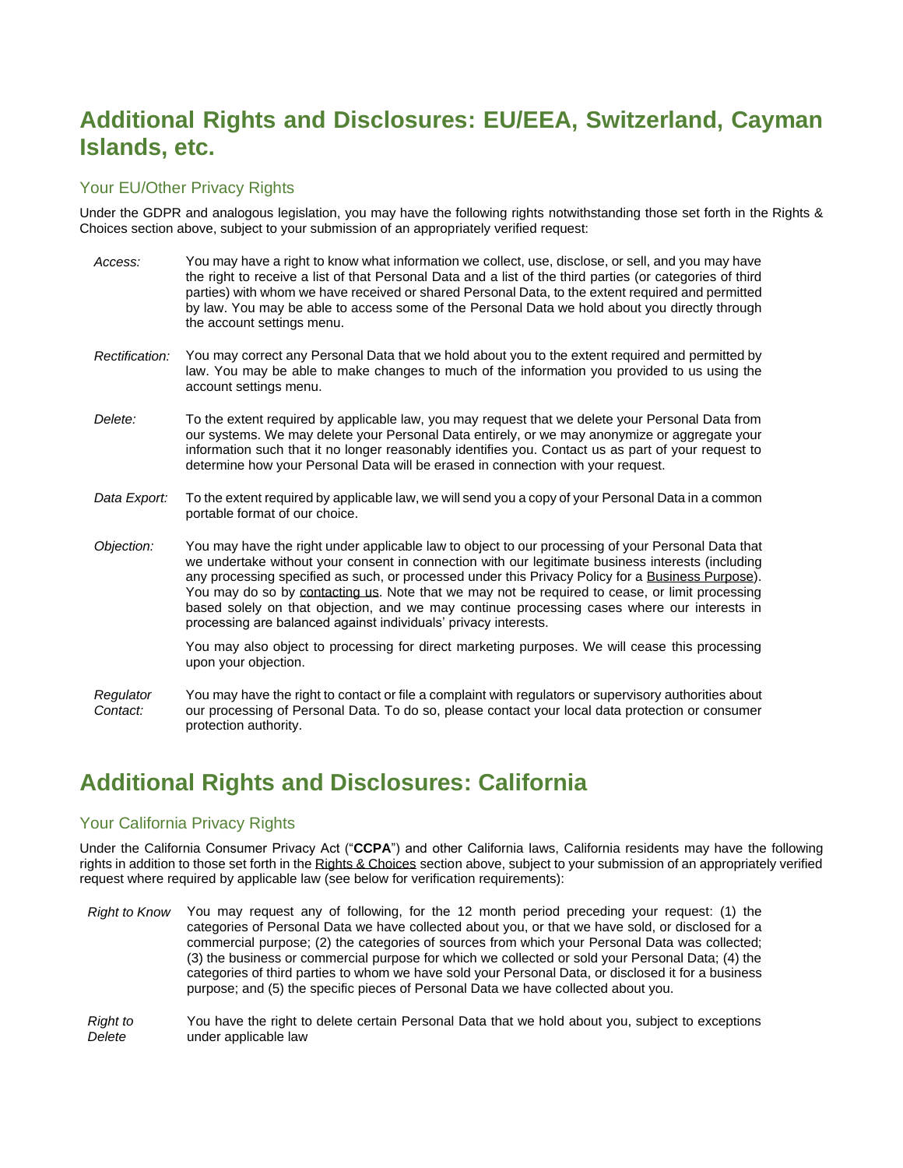# <span id="page-10-0"></span>**Additional Rights and Disclosures: EU/EEA, Switzerland, Cayman Islands, etc.**

### <span id="page-10-1"></span>Your EU/Other Privacy Rights

Under the GDPR and analogous legislation, you may have the following rights notwithstanding those set forth in the Rights & Choices section above, subject to your submission of an appropriately verified request:

- *Access:* You may have a right to know what information we collect, use, disclose, or sell, and you may have the right to receive a list of that Personal Data and a list of the third parties (or categories of third parties) with whom we have received or shared Personal Data, to the extent required and permitted by law. You may be able to access some of the Personal Data we hold about you directly through the account settings menu. *Rectification:* You may correct any Personal Data that we hold about you to the extent required and permitted by law. You may be able to make changes to much of the information you provided to us using the account settings menu. *Delete:* To the extent required by applicable law, you may request that we delete your Personal Data from our systems. We may delete your Personal Data entirely, or we may anonymize or aggregate your information such that it no longer reasonably identifies you. Contact us as part of your request to determine how your Personal Data will be erased in connection with your request. *Data Export:* To the extent required by applicable law, we will send you a copy of your Personal Data in a common portable format of our choice.
- *Objection:* You may have the right under applicable law to object to our processing of your Personal Data that we undertake without your consent in connection with our legitimate business interests (including any processing specified as such, or processed under this Privacy Policy for a [Business Purpose\)](#page-5-0). You may do so by [contacting us.](#page-1-1) Note that we may not be required to cease, or limit processing based solely on that objection, and we may continue processing cases where our interests in processing are balanced against individuals' privacy interests.

You may also object to processing for direct marketing purposes. We will cease this processing upon your objection.

*Regulator Contact:* You may have the right to contact or file a complaint with regulators or supervisory authorities about our processing of Personal Data. To do so, please contact your local data protection or consumer protection authority.

# <span id="page-10-2"></span>**Additional Rights and Disclosures: California**

### <span id="page-10-3"></span>Your California Privacy Rights

Under the California Consumer Privacy Act ("**CCPA**") and other California laws, California residents may have the following rights in addition to those set forth in the [Rights & Choices](#page-8-0) section above, subject to your submission of an appropriately verified request where required by applicable law (see below for verification requirements):

- *Right to Know* You may request any of following, for the 12 month period preceding your request: (1) the categories of Personal Data we have collected about you, or that we have sold, or disclosed for a commercial purpose; (2) the categories of sources from which your Personal Data was collected; (3) the business or commercial purpose for which we collected or sold your Personal Data; (4) the categories of third parties to whom we have sold your Personal Data, or disclosed it for a business purpose; and (5) the specific pieces of Personal Data we have collected about you.
- *Right to Delete* You have the right to delete certain Personal Data that we hold about you, subject to exceptions under applicable law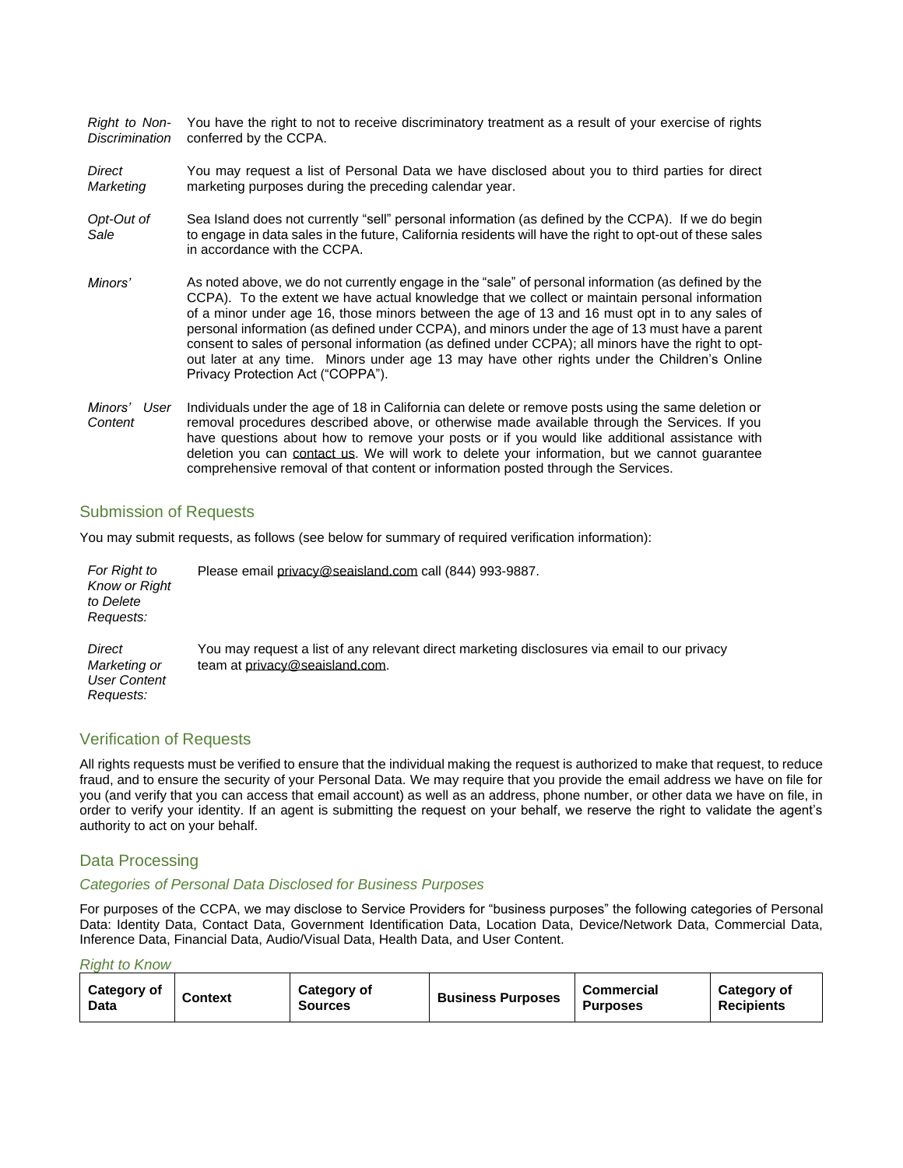*Right to Non-Discrimination* You have the right to not to receive discriminatory treatment as a result of your exercise of rights conferred by the CCPA.

*Direct Marketing* You may request a list of Personal Data we have disclosed about you to third parties for direct marketing purposes during the preceding calendar year.

- *Opt-Out of Sale* Sea Island does not currently "sell" personal information (as defined by the CCPA). If we do begin to engage in data sales in the future, California residents will have the right to opt-out of these sales in accordance with the CCPA.
- *Minors'* As noted above, we do not currently engage in the "sale" of personal information (as defined by the CCPA). To the extent we have actual knowledge that we collect or maintain personal information of a minor under age 16, those minors between the age of 13 and 16 must opt in to any sales of personal information (as defined under CCPA), and minors under the age of 13 must have a parent consent to sales of personal information (as defined under CCPA); all minors have the right to optout later at any time. Minors under age 13 may have other rights under the Children's Online Privacy Protection Act ("COPPA").
- *Minors' User Content* Individuals under the age of 18 in California can delete or remove posts using the same deletion or removal procedures described above, or otherwise made available through the Services. If you have questions about how to remove your posts or if you would like additional assistance with deletion you can contact us. We will work to delete your information, but we cannot guarantee comprehensive removal of that content or information posted through the Services.

### <span id="page-11-0"></span>Submission of Requests

You may submit requests, as follows (see below for summary of required verification information):

| For Right to<br><b>Know or Right</b><br>to Delete<br>Requests: | Please email privacy@seaisland.com call (844) 993-9887.                                                                        |
|----------------------------------------------------------------|--------------------------------------------------------------------------------------------------------------------------------|
| Direct<br>Marketing or<br><b>User Content</b><br>Requests:     | You may request a list of any relevant direct marketing disclosures via email to our privacy<br>team at privacy@seaisland.com. |

### <span id="page-11-1"></span>Verification of Requests

All rights requests must be verified to ensure that the individual making the request is authorized to make that request, to reduce fraud, and to ensure the security of your Personal Data. We may require that you provide the email address we have on file for you (and verify that you can access that email account) as well as an address, phone number, or other data we have on file, in order to verify your identity. If an agent is submitting the request on your behalf, we reserve the right to validate the agent's authority to act on your behalf.

#### <span id="page-11-2"></span>Data Processing

#### *Categories of Personal Data Disclosed for Business Purposes*

For purposes of the CCPA, we may disclose to Service Providers for "business purposes" the following categories of Personal Data: Identity Data, Contact Data, Government Identification Data, Location Data, Device/Network Data, Commercial Data, Inference Data, Financial Data, Audio/Visual Data, Health Data, and User Content.

#### *Right to Know*

| <b>Category of</b><br>Data | Context | Category of<br><b>Sources</b> | <b>Business Purposes</b> | Commercial<br><b>Purposes</b> | Category of<br><b>Recipients</b> |
|----------------------------|---------|-------------------------------|--------------------------|-------------------------------|----------------------------------|
|----------------------------|---------|-------------------------------|--------------------------|-------------------------------|----------------------------------|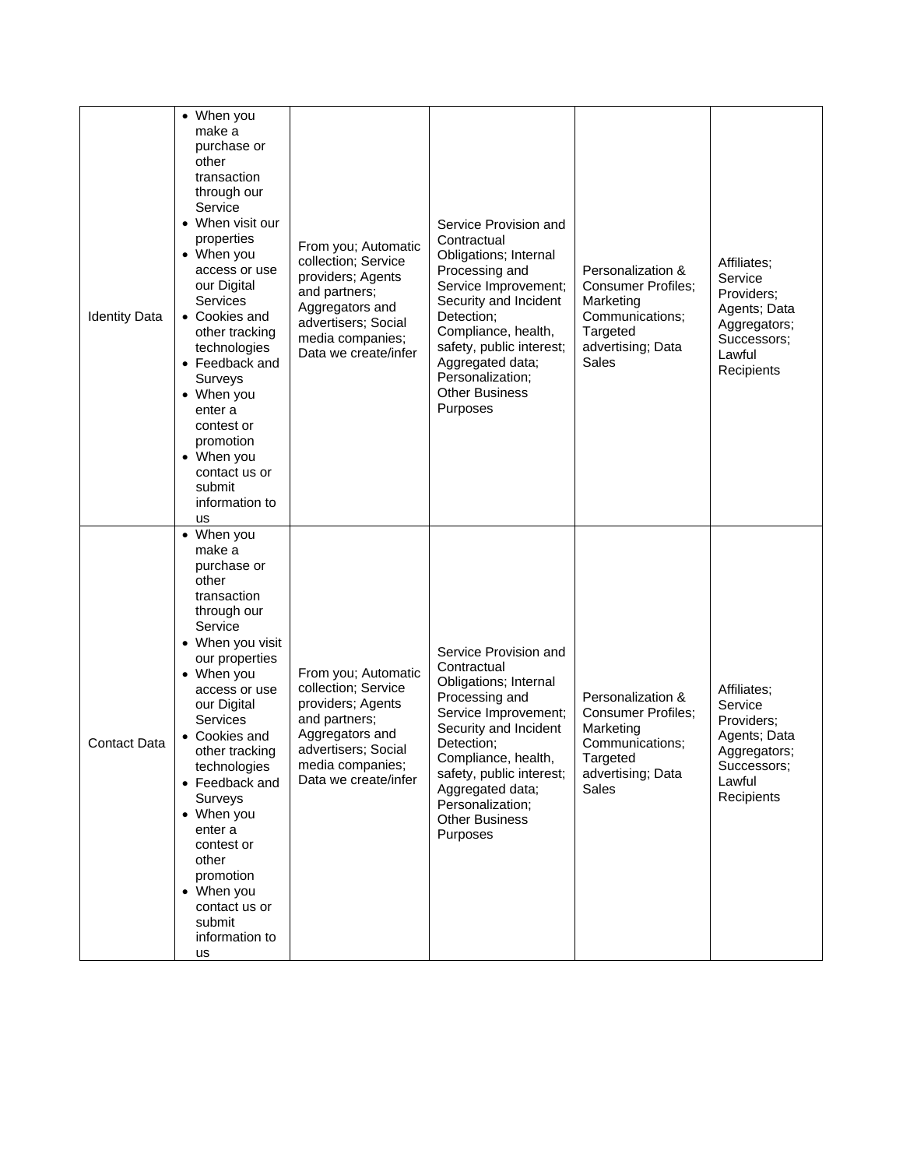| <b>Identity Data</b> | • When you<br>make a<br>purchase or<br>other<br>transaction<br>through our<br>Service<br>• When visit our<br>properties<br>• When you<br>access or use<br>our Digital<br>Services<br>• Cookies and<br>other tracking<br>technologies<br>• Feedback and<br>Surveys<br>• When you<br>enter a<br>contest or<br>promotion<br>• When you<br>contact us or<br>submit<br>information to<br>us              | From you; Automatic<br>collection; Service<br>providers; Agents<br>and partners;<br>Aggregators and<br>advertisers; Social<br>media companies;<br>Data we create/infer | Service Provision and<br>Contractual<br>Obligations; Internal<br>Processing and<br>Service Improvement;<br>Security and Incident<br>Detection;<br>Compliance, health,<br>safety, public interest;<br>Aggregated data;<br>Personalization;<br><b>Other Business</b><br>Purposes | Personalization &<br><b>Consumer Profiles:</b><br>Marketing<br>Communications;<br>Targeted<br>advertising; Data<br>Sales | Affiliates:<br>Service<br>Providers;<br>Agents; Data<br>Aggregators;<br>Successors;<br>Lawful<br>Recipients |
|----------------------|-----------------------------------------------------------------------------------------------------------------------------------------------------------------------------------------------------------------------------------------------------------------------------------------------------------------------------------------------------------------------------------------------------|------------------------------------------------------------------------------------------------------------------------------------------------------------------------|--------------------------------------------------------------------------------------------------------------------------------------------------------------------------------------------------------------------------------------------------------------------------------|--------------------------------------------------------------------------------------------------------------------------|-------------------------------------------------------------------------------------------------------------|
| <b>Contact Data</b>  | • When you<br>make a<br>purchase or<br>other<br>transaction<br>through our<br>Service<br>• When you visit<br>our properties<br>• When you<br>access or use<br>our Digital<br>Services<br>• Cookies and<br>other tracking<br>technologies<br>• Feedback and<br>Surveys<br>• When you<br>enter a<br>contest or<br>other<br>promotion<br>• When you<br>contact us or<br>submit<br>information to<br>us | From you; Automatic<br>collection; Service<br>providers; Agents<br>and partners;<br>Aggregators and<br>advertisers; Social<br>media companies;<br>Data we create/infer | Service Provision and<br>Contractual<br>Obligations; Internal<br>Processing and<br>Service Improvement;<br>Security and Incident<br>Detection;<br>Compliance, health,<br>safety, public interest;<br>Aggregated data;<br>Personalization;<br><b>Other Business</b><br>Purposes | Personalization &<br><b>Consumer Profiles;</b><br>Marketing<br>Communications;<br>Targeted<br>advertising; Data<br>Sales | Affiliates;<br>Service<br>Providers;<br>Agents; Data<br>Aggregators;<br>Successors;<br>Lawful<br>Recipients |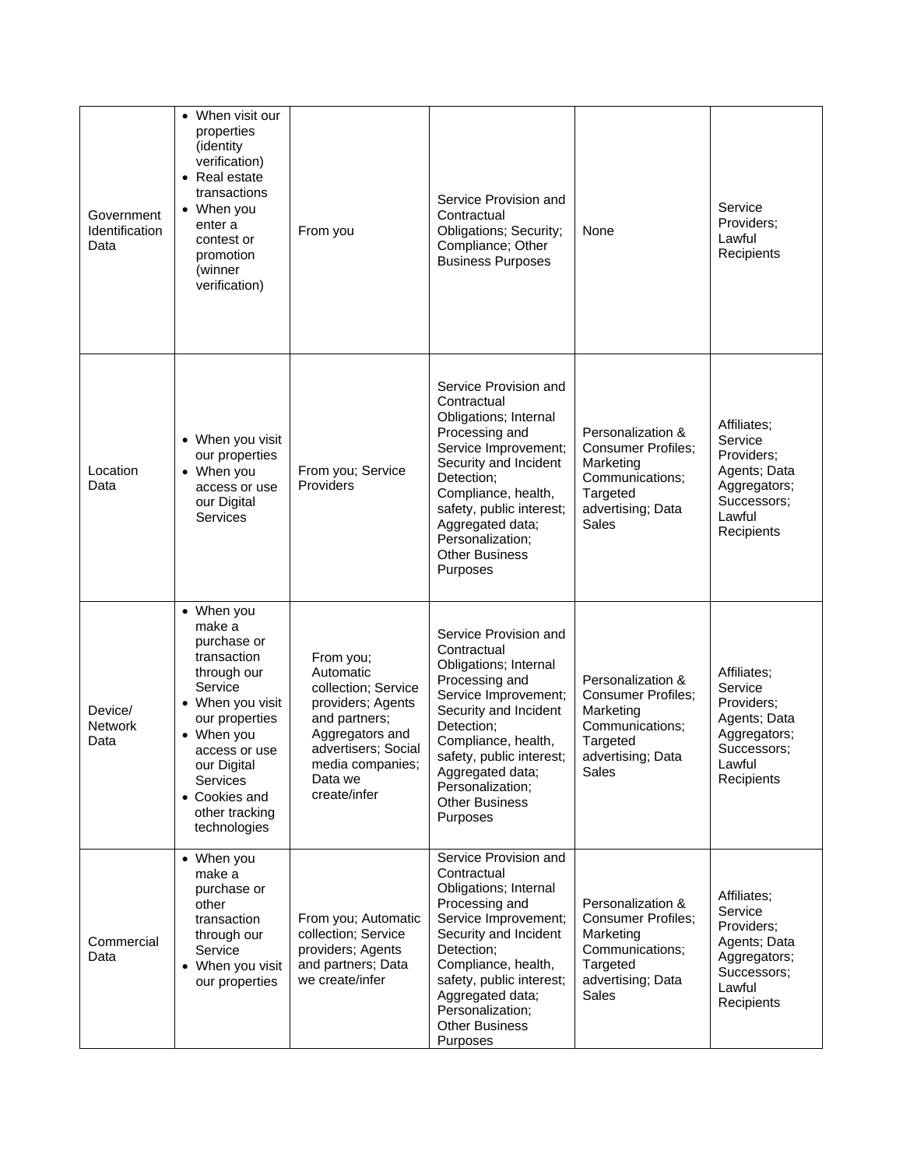| Government<br>Identification<br>Data | When visit our<br>properties<br>(identity<br>verification)<br>• Real estate<br>transactions<br>• When you<br>enter a<br>contest or<br>promotion<br>(winner<br>verification)                                                   | From you                                                                                                                                                                     | Service Provision and<br>Contractual<br>Obligations; Security;<br>Compliance; Other<br><b>Business Purposes</b>                                                                                                                                                                | None                                                                                                                     | Service<br>Providers;<br>Lawful<br>Recipients                                                               |
|--------------------------------------|-------------------------------------------------------------------------------------------------------------------------------------------------------------------------------------------------------------------------------|------------------------------------------------------------------------------------------------------------------------------------------------------------------------------|--------------------------------------------------------------------------------------------------------------------------------------------------------------------------------------------------------------------------------------------------------------------------------|--------------------------------------------------------------------------------------------------------------------------|-------------------------------------------------------------------------------------------------------------|
| Location<br>Data                     | • When you visit<br>our properties<br>• When you<br>access or use<br>our Digital<br>Services                                                                                                                                  | From you; Service<br>Providers                                                                                                                                               | Service Provision and<br>Contractual<br>Obligations; Internal<br>Processing and<br>Service Improvement;<br>Security and Incident<br>Detection;<br>Compliance, health,<br>safety, public interest;<br>Aggregated data;<br>Personalization;<br><b>Other Business</b><br>Purposes | Personalization &<br><b>Consumer Profiles;</b><br>Marketing<br>Communications;<br>Targeted<br>advertising; Data<br>Sales | Affiliates:<br>Service<br>Providers;<br>Agents; Data<br>Aggregators;<br>Successors;<br>Lawful<br>Recipients |
| Device/<br><b>Network</b><br>Data    | • When you<br>make a<br>purchase or<br>transaction<br>through our<br>Service<br>When you visit<br>our properties<br>• When you<br>access or use<br>our Digital<br>Services<br>• Cookies and<br>other tracking<br>technologies | From you;<br>Automatic<br>collection; Service<br>providers; Agents<br>and partners;<br>Aggregators and<br>advertisers; Social<br>media companies;<br>Data we<br>create/infer | Service Provision and<br>Contractual<br>Obligations; Internal<br>Processing and<br>Service Improvement;<br>Security and Incident<br>Detection;<br>Compliance, health,<br>safety, public interest;<br>Aggregated data;<br>Personalization;<br><b>Other Business</b><br>Purposes | Personalization &<br><b>Consumer Profiles;</b><br>Marketing<br>Communications;<br>Targeted<br>advertising; Data<br>Sales | Affiliates:<br>Service<br>Providers;<br>Agents; Data<br>Aggregators;<br>Successors:<br>Lawful<br>Recipients |
| Commercial<br>Data                   | • When you<br>make a<br>purchase or<br>other<br>transaction<br>through our<br>Service<br>• When you visit<br>our properties                                                                                                   | From you; Automatic<br>collection; Service<br>providers; Agents<br>and partners; Data<br>we create/infer                                                                     | Service Provision and<br>Contractual<br>Obligations; Internal<br>Processing and<br>Service Improvement;<br>Security and Incident<br>Detection;<br>Compliance, health,<br>safety, public interest;<br>Aggregated data;<br>Personalization;<br><b>Other Business</b><br>Purposes | Personalization &<br><b>Consumer Profiles;</b><br>Marketing<br>Communications;<br>Targeted<br>advertising; Data<br>Sales | Affiliates;<br>Service<br>Providers;<br>Agents; Data<br>Aggregators;<br>Successors;<br>Lawful<br>Recipients |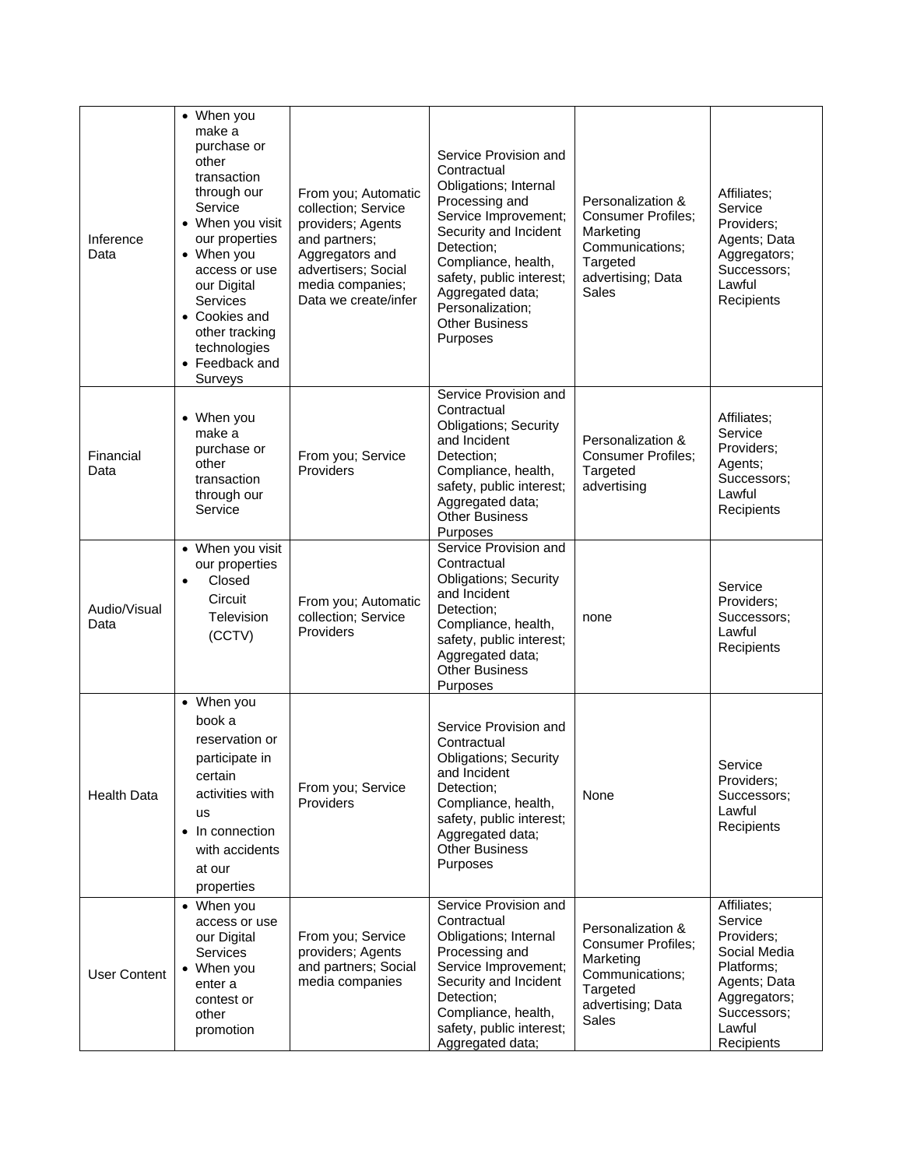| Inference<br>Data    | • When you<br>make a<br>purchase or<br>other<br>transaction<br>through our<br>Service<br>• When you visit<br>our properties<br>• When you<br>access or use<br>our Digital<br>Services<br>• Cookies and<br>other tracking<br>technologies<br>• Feedback and<br>Surveys | From you; Automatic<br>collection; Service<br>providers; Agents<br>and partners;<br>Aggregators and<br>advertisers; Social<br>media companies;<br>Data we create/infer | Service Provision and<br>Contractual<br>Obligations; Internal<br>Processing and<br>Service Improvement;<br>Security and Incident<br>Detection;<br>Compliance, health,<br>safety, public interest;<br>Aggregated data;<br>Personalization;<br><b>Other Business</b><br>Purposes | Personalization &<br><b>Consumer Profiles;</b><br>Marketing<br>Communications;<br>Targeted<br>advertising; Data<br><b>Sales</b> | Affiliates:<br>Service<br>Providers:<br>Agents; Data<br>Aggregators;<br>Successors:<br>Lawful<br>Recipients                               |
|----------------------|-----------------------------------------------------------------------------------------------------------------------------------------------------------------------------------------------------------------------------------------------------------------------|------------------------------------------------------------------------------------------------------------------------------------------------------------------------|--------------------------------------------------------------------------------------------------------------------------------------------------------------------------------------------------------------------------------------------------------------------------------|---------------------------------------------------------------------------------------------------------------------------------|-------------------------------------------------------------------------------------------------------------------------------------------|
| Financial<br>Data    | • When you<br>make a<br>purchase or<br>other<br>transaction<br>through our<br>Service                                                                                                                                                                                 | From you; Service<br>Providers                                                                                                                                         | Service Provision and<br>Contractual<br><b>Obligations; Security</b><br>and Incident<br>Detection;<br>Compliance, health,<br>safety, public interest;<br>Aggregated data;<br><b>Other Business</b><br>Purposes                                                                 | Personalization &<br><b>Consumer Profiles;</b><br>Targeted<br>advertising                                                       | Affiliates;<br>Service<br>Providers;<br>Agents;<br>Successors;<br>Lawful<br>Recipients                                                    |
| Audio/Visual<br>Data | • When you visit<br>our properties<br>Closed<br>$\bullet$<br>Circuit<br>Television<br>(CCTV)                                                                                                                                                                          | From you; Automatic<br>collection; Service<br>Providers                                                                                                                | Service Provision and<br>Contractual<br><b>Obligations; Security</b><br>and Incident<br>Detection;<br>Compliance, health,<br>safety, public interest;<br>Aggregated data;<br><b>Other Business</b><br>Purposes                                                                 | none                                                                                                                            | Service<br>Providers;<br>Successors;<br>Lawful<br>Recipients                                                                              |
| <b>Health Data</b>   | • When you<br>book a<br>reservation or<br>participate in<br>certain<br>activities with<br>us<br>In connection<br>$\bullet$<br>with accidents<br>at our<br>properties                                                                                                  | From you; Service<br>Providers                                                                                                                                         | Service Provision and<br>Contractual<br><b>Obligations; Security</b><br>and Incident<br>Detection;<br>Compliance, health,<br>safety, public interest;<br>Aggregated data;<br><b>Other Business</b><br>Purposes                                                                 | None                                                                                                                            | Service<br>Providers;<br>Successors;<br>Lawful<br>Recipients                                                                              |
| <b>User Content</b>  | • When you<br>access or use<br>our Digital<br>Services<br>• When you<br>enter a<br>contest or<br>other<br>promotion                                                                                                                                                   | From you; Service<br>providers; Agents<br>and partners; Social<br>media companies                                                                                      | Service Provision and<br>Contractual<br>Obligations; Internal<br>Processing and<br>Service Improvement;<br>Security and Incident<br>Detection;<br>Compliance, health,<br>safety, public interest;<br>Aggregated data;                                                          | Personalization &<br><b>Consumer Profiles;</b><br>Marketing<br>Communications;<br>Targeted<br>advertising; Data<br><b>Sales</b> | Affiliates;<br>Service<br>Providers;<br>Social Media<br>Platforms:<br>Agents; Data<br>Aggregators;<br>Successors;<br>Lawful<br>Recipients |